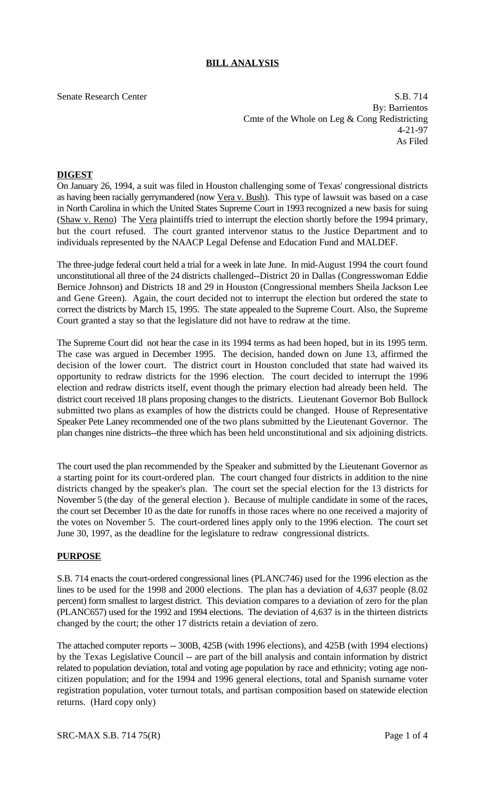## **BILL ANALYSIS**

Senate Research Center S.B. 714 By: Barrientos Cmte of the Whole on Leg & Cong Redistricting 4-21-97 As Filed

## **DIGEST**

On January 26, 1994, a suit was filed in Houston challenging some of Texas' congressional districts as having been racially gerrymandered (now Vera v. Bush). This type of lawsuit was based on a case in North Carolina in which the United States Supreme Court in 1993 recognized a new basis for suing (Shaw v. Reno) The Vera plaintiffs tried to interrupt the election shortly before the 1994 primary, but the court refused. The court granted intervenor status to the Justice Department and to individuals represented by the NAACP Legal Defense and Education Fund and MALDEF.

The three-judge federal court held a trial for a week in late June. In mid-August 1994 the court found unconstitutional all three of the 24 districts challenged--District 20 in Dallas (Congresswoman Eddie Bernice Johnson) and Districts 18 and 29 in Houston (Congressional members Sheila Jackson Lee and Gene Green). Again, the court decided not to interrupt the election but ordered the state to correct the districts by March 15, 1995. The state appealed to the Supreme Court. Also, the Supreme Court granted a stay so that the legislature did not have to redraw at the time.

The Supreme Court did not hear the case in its 1994 terms as had been hoped, but in its 1995 term. The case was argued in December 1995. The decision, handed down on June 13, affirmed the decision of the lower court. The district court in Houston concluded that state had waived its opportunity to redraw districts for the 1996 election. The court decided to interrupt the 1996 election and redraw districts itself, event though the primary election had already been held. The district court received 18 plans proposing changes to the districts. Lieutenant Governor Bob Bullock submitted two plans as examples of how the districts could be changed. House of Representative Speaker Pete Laney recommended one of the two plans submitted by the Lieutenant Governor. The plan changes nine districts--the three which has been held unconstitutional and six adjoining districts.

The court used the plan recommended by the Speaker and submitted by the Lieutenant Governor as a starting point for its court-ordered plan. The court changed four districts in addition to the nine districts changed by the speaker's plan. The court set the special election for the 13 districts for November 5 (the day of the general election ). Because of multiple candidate in some of the races, the court set December 10 as the date for runoffs in those races where no one received a majority of the votes on November 5. The court-ordered lines apply only to the 1996 election. The court set June 30, 1997, as the deadline for the legislature to redraw congressional districts.

## **PURPOSE**

S.B. 714 enacts the court-ordered congressional lines (PLANC746) used for the 1996 election as the lines to be used for the 1998 and 2000 elections. The plan has a deviation of 4,637 people (8.02 percent) form smallest to largest district. This deviation compares to a deviation of zero for the plan (PLANC657) used for the 1992 and 1994 elections. The deviation of 4,637 is in the thirteen districts changed by the court; the other 17 districts retain a deviation of zero.

The attached computer reports -- 300B, 425B (with 1996 elections), and 425B (with 1994 elections) by the Texas Legislative Council -- are part of the bill analysis and contain information by district related to population deviation, total and voting age population by race and ethnicity; voting age noncitizen population; and for the 1994 and 1996 general elections, total and Spanish surname voter registration population, voter turnout totals, and partisan composition based on statewide election returns. (Hard copy only)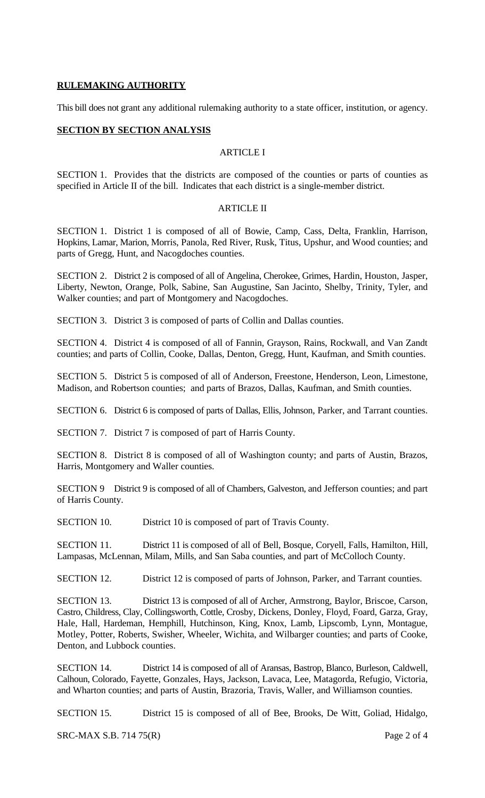### **RULEMAKING AUTHORITY**

This bill does not grant any additional rulemaking authority to a state officer, institution, or agency.

### **SECTION BY SECTION ANALYSIS**

# ARTICLE I

SECTION 1. Provides that the districts are composed of the counties or parts of counties as specified in Article II of the bill. Indicates that each district is a single-member district.

## ARTICLE II

SECTION 1. District 1 is composed of all of Bowie, Camp, Cass, Delta, Franklin, Harrison, Hopkins, Lamar, Marion, Morris, Panola, Red River, Rusk, Titus, Upshur, and Wood counties; and parts of Gregg, Hunt, and Nacogdoches counties.

SECTION 2. District 2 is composed of all of Angelina, Cherokee, Grimes, Hardin, Houston, Jasper, Liberty, Newton, Orange, Polk, Sabine, San Augustine, San Jacinto, Shelby, Trinity, Tyler, and Walker counties; and part of Montgomery and Nacogdoches.

SECTION 3. District 3 is composed of parts of Collin and Dallas counties.

SECTION 4. District 4 is composed of all of Fannin, Grayson, Rains, Rockwall, and Van Zandt counties; and parts of Collin, Cooke, Dallas, Denton, Gregg, Hunt, Kaufman, and Smith counties.

SECTION 5. District 5 is composed of all of Anderson, Freestone, Henderson, Leon, Limestone, Madison, and Robertson counties; and parts of Brazos, Dallas, Kaufman, and Smith counties.

SECTION 6. District 6 is composed of parts of Dallas, Ellis, Johnson, Parker, and Tarrant counties.

SECTION 7. District 7 is composed of part of Harris County.

SECTION 8. District 8 is composed of all of Washington county; and parts of Austin, Brazos, Harris, Montgomery and Waller counties.

SECTION 9 District 9 is composed of all of Chambers, Galveston, and Jefferson counties; and part of Harris County.

SECTION 10. District 10 is composed of part of Travis County.

SECTION 11. District 11 is composed of all of Bell, Bosque, Coryell, Falls, Hamilton, Hill, Lampasas, McLennan, Milam, Mills, and San Saba counties, and part of McColloch County.

SECTION 12. District 12 is composed of parts of Johnson, Parker, and Tarrant counties.

SECTION 13. District 13 is composed of all of Archer, Armstrong, Baylor, Briscoe, Carson, Castro, Childress, Clay, Collingsworth, Cottle, Crosby, Dickens, Donley, Floyd, Foard, Garza, Gray, Hale, Hall, Hardeman, Hemphill, Hutchinson, King, Knox, Lamb, Lipscomb, Lynn, Montague, Motley, Potter, Roberts, Swisher, Wheeler, Wichita, and Wilbarger counties; and parts of Cooke, Denton, and Lubbock counties.

SECTION 14. District 14 is composed of all of Aransas, Bastrop, Blanco, Burleson, Caldwell, Calhoun, Colorado, Fayette, Gonzales, Hays, Jackson, Lavaca, Lee, Matagorda, Refugio, Victoria, and Wharton counties; and parts of Austin, Brazoria, Travis, Waller, and Williamson counties.

SECTION 15. District 15 is composed of all of Bee, Brooks, De Witt, Goliad, Hidalgo,

SRC-MAX S.B. 714 75(R) Page 2 of 4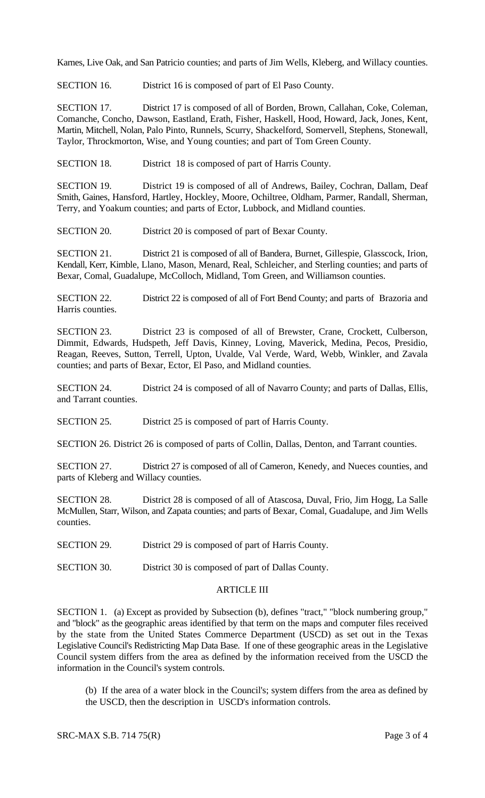Karnes, Live Oak, and San Patricio counties; and parts of Jim Wells, Kleberg, and Willacy counties.

SECTION 16. District 16 is composed of part of El Paso County.

SECTION 17. District 17 is composed of all of Borden, Brown, Callahan, Coke, Coleman, Comanche, Concho, Dawson, Eastland, Erath, Fisher, Haskell, Hood, Howard, Jack, Jones, Kent, Martin, Mitchell, Nolan, Palo Pinto, Runnels, Scurry, Shackelford, Somervell, Stephens, Stonewall, Taylor, Throckmorton, Wise, and Young counties; and part of Tom Green County.

SECTION 18. District 18 is composed of part of Harris County.

SECTION 19. District 19 is composed of all of Andrews, Bailey, Cochran, Dallam, Deaf Smith, Gaines, Hansford, Hartley, Hockley, Moore, Ochiltree, Oldham, Parmer, Randall, Sherman, Terry, and Yoakum counties; and parts of Ector, Lubbock, and Midland counties.

SECTION 20. District 20 is composed of part of Bexar County.

SECTION 21. District 21 is composed of all of Bandera, Burnet, Gillespie, Glasscock, Irion, Kendall, Kerr, Kimble, Llano, Mason, Menard, Real, Schleicher, and Sterling counties; and parts of Bexar, Comal, Guadalupe, McColloch, Midland, Tom Green, and Williamson counties.

SECTION 22. District 22 is composed of all of Fort Bend County; and parts of Brazoria and Harris counties.

SECTION 23. District 23 is composed of all of Brewster, Crane, Crockett, Culberson, Dimmit, Edwards, Hudspeth, Jeff Davis, Kinney, Loving, Maverick, Medina, Pecos, Presidio, Reagan, Reeves, Sutton, Terrell, Upton, Uvalde, Val Verde, Ward, Webb, Winkler, and Zavala counties; and parts of Bexar, Ector, El Paso, and Midland counties.

SECTION 24. District 24 is composed of all of Navarro County; and parts of Dallas, Ellis, and Tarrant counties.

SECTION 25. District 25 is composed of part of Harris County.

SECTION 26. District 26 is composed of parts of Collin, Dallas, Denton, and Tarrant counties.

SECTION 27. District 27 is composed of all of Cameron, Kenedy, and Nueces counties, and parts of Kleberg and Willacy counties.

SECTION 28. District 28 is composed of all of Atascosa, Duval, Frio, Jim Hogg, La Salle McMullen, Starr, Wilson, and Zapata counties; and parts of Bexar, Comal, Guadalupe, and Jim Wells counties.

SECTION 29. District 29 is composed of part of Harris County.

SECTION 30. District 30 is composed of part of Dallas County.

#### ARTICLE III

SECTION 1. (a) Except as provided by Subsection (b), defines "tract," "block numbering group," and "block" as the geographic areas identified by that term on the maps and computer files received by the state from the United States Commerce Department (USCD) as set out in the Texas Legislative Council's Redistricting Map Data Base. If one of these geographic areas in the Legislative Council system differs from the area as defined by the information received from the USCD the information in the Council's system controls.

(b) If the area of a water block in the Council's; system differs from the area as defined by the USCD, then the description in USCD's information controls.